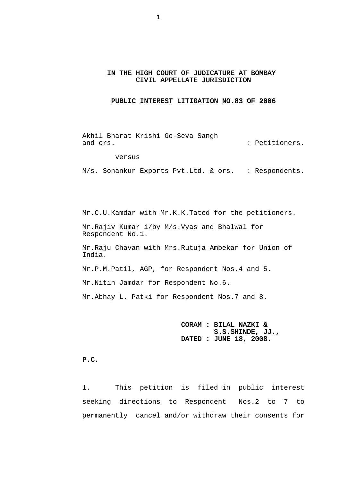#### IN THE HIGH COURT OF JUDICATURE AT BOMBAY CIVIL APPELLATE JURISDICTION

#### PUBLIC INTEREST LITIGATION NO.83 OF 2006

 Akhil Bharat Krishi Go-Seva Sangh and ors.  $\qquad \qquad$  Petitioners.

versus

M/s. Sonankur Exports Pvt.Ltd. & ors. : Respondents.

 Mr.C.U.Kamdar with Mr.K.K.Tated for the petitioners. Mr.Rajiv Kumar i/by M/s.Vyas and Bhalwal for Respondent No.1.

 Mr.Raju Chavan with Mrs.Rutuja Ambekar for Union of India.

Mr.P.M.Patil, AGP, for Respondent Nos.4 and 5.

Mr.Nitin Jamdar for Respondent No.6.

Mr.Abhay L. Patki for Respondent Nos.7 and 8.

## CORAM : BILAL NAZKI & S.S.SHINDE, JJ., DATED : JUNE 18, 2008.

P.C.

1. This petition is filed in public interest seeking directions to Respondent Nos.2 to 7 to permanently cancel and/or withdraw their consents for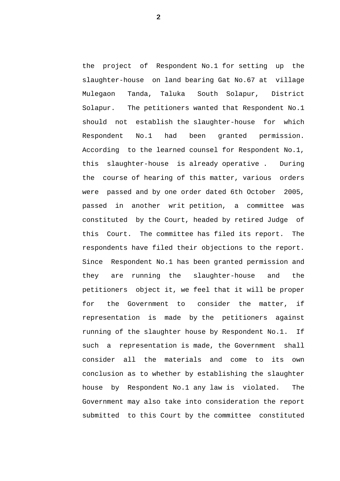the project of Respondent No.1 for setting up the slaughter-house on land bearing Gat No.67 at village Mulegaon Tanda, Taluka South Solapur, District Solapur. The petitioners wanted that Respondent No.1 should not establish the slaughter-house for which Respondent No.1 had been granted permission. According to the learned counsel for Respondent No.1, this slaughter-house is already operative . During the course of hearing of this matter, various orders were passed and by one order dated 6th October 2005, passed in another writ petition, a committee was constituted by the Court, headed by retired Judge of this Court. The committee has filed its report. The respondents have filed their objections to the report. Since Respondent No.1 has been granted permission and they are running the slaughter-house and the petitioners object it, we feel that it will be proper for the Government to consider the matter, if representation is made by the petitioners against running of the slaughter house by Respondent No.1. If such a representation is made, the Government shall consider all the materials and come to its own conclusion as to whether by establishing the slaughter house by Respondent No.1 any law is violated. The Government may also take into consideration the report submitted to this Court by the committee constituted